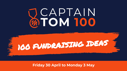# **DCAPTAIN**



# **Friday 30 April to Monday 3 May**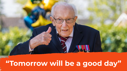

# **"Tomorrow will be a good day"**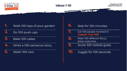



#### **1.**  Walk 100 laps of your garden

**2.** Do 100 push-ups

- **3.** Bake 100 cakes
- **4.** Write a 100-sentence story

**5.** Wash 100 cars

| <b>TOA</b> | Skip for 100 minutes ' |
|------------|------------------------|
|------------|------------------------|

- **7.** Get 100 people involved in **Captain Tom 100**!
- **8.** Wear 100 different fancy dress costumes
- **9.** Score 100 netball goals
- **10.** Juggle for 100 seconds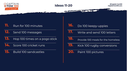

**Ideas 11-20 #Captain Tom100 CaptainTom100.com**

#### **11.**  Run for 100 minutes

**12.** Send 100 messages

**13.** Hop 100 times on a pogo stick

**14.** Score 100 cricket runs

**15.** Build 100 sandcastles

| 16. | Do 100 keepy-uppies |
|-----|---------------------|
|-----|---------------------|

**17.** Write and send 100 letters

**18.**

- Provide 100 meals for the homeless
- **19.** Kick 100 rugby conversions

**20.** Paint 100 pictures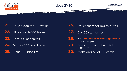

**Ideas 21-30 #Captain Tom100**

**CaptainTom100.com**

#### **21.**  Take a dog for 100 walks

**22.** Flip a bottle 100 times

- **23.** Toss 100 pancakes
- **24.** Write a 100-word poem

**25.** Bake 100 biscuits

| 26. | Roller skate for 100 minutes                       |
|-----|----------------------------------------------------|
| 27. | Do 100 star jumps                                  |
| 28. | Say "Tomorrow will be a good day"<br>to 100 people |
| 29. | Bounce a cricket ball on a bat<br>100 times        |
|     | Make and send 100 cards                            |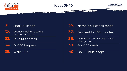

#### **31.**  Sing 100 songs

- **32.** Bounce a ball on a tennis racquet 100 times
- **33.** Take 100 photos
- **34.** Do 100 burpees

**35.** Walk 100K

#### **36.**  Name 100 Beatles songs

- **37.** Be silent for 100 minutes
- **38.** Donate 100 items to your local charity shop
- **39.** Sow 100 seeds
- **40.** Do 100 hula hoops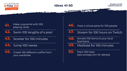

**Ideas 41-50 #Captain Tom100 CaptainTom100.com**



Make a pyramid with 100

**42.** Swim 100 lengths of a pool

**43.** Scooter for 100 minutes

## **44.** Jump 100 waves



#### **46.**  playing cards  $\begin{vmatrix} \text{black}} \\ \text{black} \end{vmatrix}$   $\begin{vmatrix} 40 \\ \text{black}} \\ \text{black} \end{vmatrix}$  a virtual party for 100 people

- **47.** Stream for 100 hours on Twitch
- **48.** Donate 100 items to your local food bank
- **49.** Meditate for 100 minutes
- **50.** Plant 100 trees (see ecologi.com for details)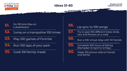



- **52.** Jump on a trampoline 100 times
- **53.** Play 100 games of Fortnite
- **54.** Run 100 laps of your park
- **55.** Cook 100 family meals

#### **56.**  Lip sync to 100 songs

**57.** Try to spot 100 different trees, birds, cars and flowers on a walk



- Run a 10K virtual relay with 10 friends
- **59.** Complete 100 hours of fasting (Ramadan 12 April to 12 May)



Make 100 phone calls to friends and family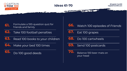

- **61.**  Formulate a 100-question quiz for
- **62.** Take 100 football penalties
- **63.** Read 100 books to your children
- **64.** Make your bed 100 times
- **65.** Do 100 good deeds
- **66.**  formulate a loo-question quiz for **blo** Watch 100 episodes of *Friends* friends
	- **67.** Eat 100 grapes
	- **68.** Do 100 cartwheels
	- **69.** Send 100 postcards
	- **70.** Balance 100 beer mats on your head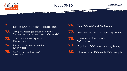

### **Ideas 71-80 #Captain Tom100**

#### **71.**  Make 100 friendship bracelets **76.**

- **72.** Hang 100 messages of hope on a tree (remember to take them down afterwards!)
- **73.** Create a patchwork quilt of 100 squares
- **74.** Play a musical instrument for 100 minutes
- **75.** Say 'red lorry yellow lorry' 100 times

# Tap 100 tap dance steps

- **77.** Build something with 100 Lego bricks
- **78.** Make a domino run with 100 dominos
- **79.** Perform 100 bike bunny hops
- **80.** Share your 100 with 100 people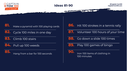

- **81.**  Make a pyramid with 100 playing cards **86.**
- **82.** Cycle 100 miles in one day
- **83.** Climb 100 stairs
- **84.** Pull up 100 weeds

**85.** Hang from a bar for 100 seconds Iron 100 items of clothing in

# Hit 100 strokes in a tennis rally

- **87.** Volunteer 100 hours of your time
- **88.** Go down a slide 100 times
- **89.** Play 100 games of bingo



100 minutes